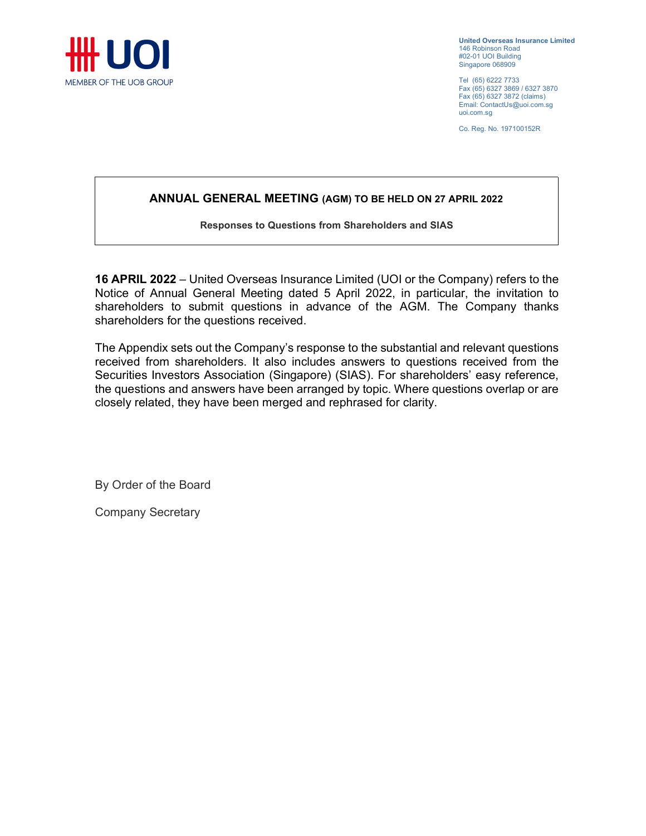

United Overseas Insurance Limited 146 Robinson Road #02-01 UOI Building Singapore 068909

Tel (65) 6222 7733 Fax (65) 6327 3869 / 6327 3870 Fax (65) 6327 3872 (claims) Email: ContactUs@uoi.com.sg uoi.com.sg

Co. Reg. No. 197100152R

# ANNUAL GENERAL MEETING (AGM) TO BE HELD ON 27 APRIL 2022

#### Responses to Questions from Shareholders and SIAS

16 APRIL 2022 – United Overseas Insurance Limited (UOI or the Company) refers to the Notice of Annual General Meeting dated 5 April 2022, in particular, the invitation to shareholders to submit questions in advance of the AGM. The Company thanks shareholders for the questions received.

The Appendix sets out the Company's response to the substantial and relevant questions received from shareholders. It also includes answers to questions received from the Securities Investors Association (Singapore) (SIAS). For shareholders' easy reference, the questions and answers have been arranged by topic. Where questions overlap or are closely related, they have been merged and rephrased for clarity.

By Order of the Board

Company Secretary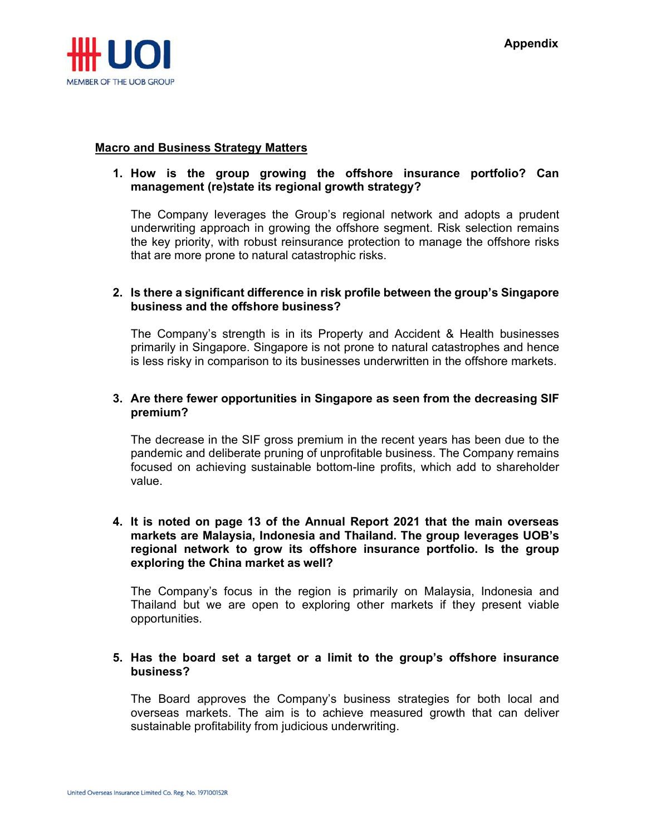

#### Macro and Business Strategy Matters

### 1. How is the group growing the offshore insurance portfolio? Can management (re)state its regional growth strategy?

The Company leverages the Group's regional network and adopts a prudent underwriting approach in growing the offshore segment. Risk selection remains the key priority, with robust reinsurance protection to manage the offshore risks that are more prone to natural catastrophic risks.

## 2. Is there a significant difference in risk profile between the group's Singapore business and the offshore business?

The Company's strength is in its Property and Accident & Health businesses primarily in Singapore. Singapore is not prone to natural catastrophes and hence is less risky in comparison to its businesses underwritten in the offshore markets.

## 3. Are there fewer opportunities in Singapore as seen from the decreasing SIF premium?

The decrease in the SIF gross premium in the recent years has been due to the pandemic and deliberate pruning of unprofitable business. The Company remains focused on achieving sustainable bottom-line profits, which add to shareholder value.

#### 4. It is noted on page 13 of the Annual Report 2021 that the main overseas markets are Malaysia, Indonesia and Thailand. The group leverages UOB's regional network to grow its offshore insurance portfolio. Is the group exploring the China market as well?

The Company's focus in the region is primarily on Malaysia, Indonesia and Thailand but we are open to exploring other markets if they present viable opportunities.

## 5. Has the board set a target or a limit to the group's offshore insurance business?

The Board approves the Company's business strategies for both local and overseas markets. The aim is to achieve measured growth that can deliver sustainable profitability from judicious underwriting.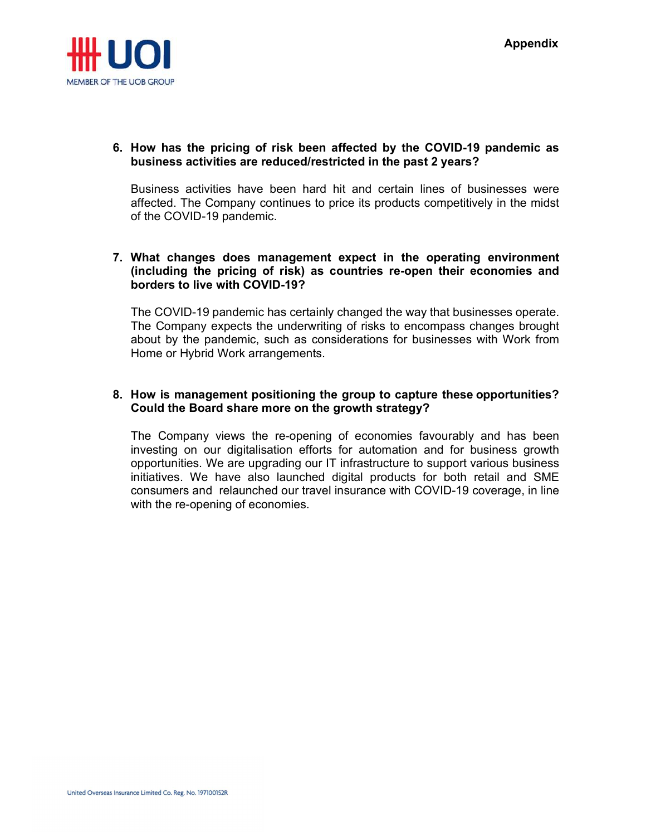

## 6. How has the pricing of risk been affected by the COVID-19 pandemic as business activities are reduced/restricted in the past 2 years?

Business activities have been hard hit and certain lines of businesses were affected. The Company continues to price its products competitively in the midst of the COVID-19 pandemic.

## 7. What changes does management expect in the operating environment (including the pricing of risk) as countries re-open their economies and borders to live with COVID-19?

The COVID-19 pandemic has certainly changed the way that businesses operate. The Company expects the underwriting of risks to encompass changes brought about by the pandemic, such as considerations for businesses with Work from Home or Hybrid Work arrangements.

# 8. How is management positioning the group to capture these opportunities? Could the Board share more on the growth strategy?

The Company views the re-opening of economies favourably and has been investing on our digitalisation efforts for automation and for business growth opportunities. We are upgrading our IT infrastructure to support various business initiatives. We have also launched digital products for both retail and SME consumers and relaunched our travel insurance with COVID-19 coverage, in line with the re-opening of economies.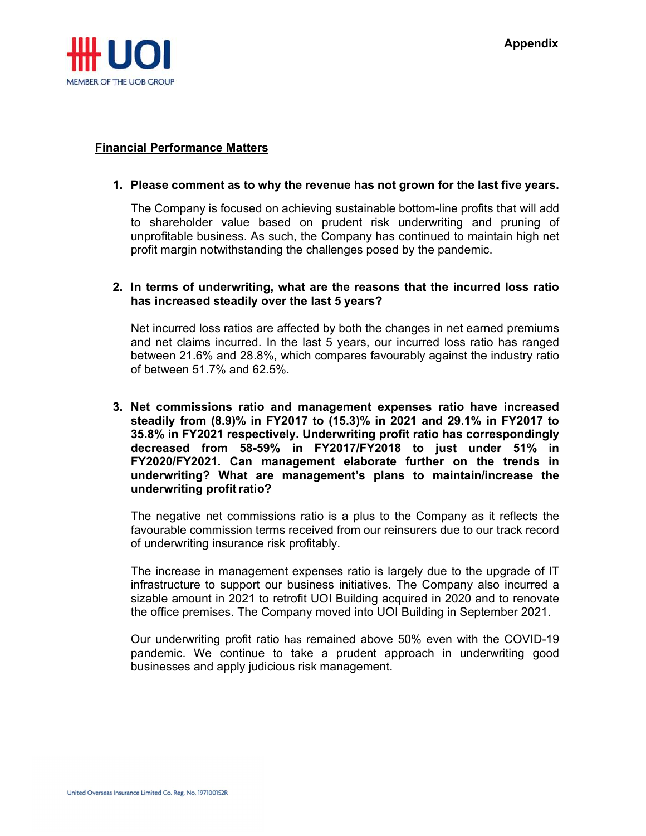

#### Financial Performance Matters

#### 1. Please comment as to why the revenue has not grown for the last five years.

The Company is focused on achieving sustainable bottom-line profits that will add to shareholder value based on prudent risk underwriting and pruning of unprofitable business. As such, the Company has continued to maintain high net profit margin notwithstanding the challenges posed by the pandemic.

## 2. In terms of underwriting, what are the reasons that the incurred loss ratio has increased steadily over the last 5 years?

Net incurred loss ratios are affected by both the changes in net earned premiums and net claims incurred. In the last 5 years, our incurred loss ratio has ranged between 21.6% and 28.8%, which compares favourably against the industry ratio of between 51.7% and 62.5%.

3. Net commissions ratio and management expenses ratio have increased steadily from (8.9)% in FY2017 to (15.3)% in 2021 and 29.1% in FY2017 to 35.8% in FY2021 respectively. Underwriting profit ratio has correspondingly decreased from 58-59% in FY2017/FY2018 to just under 51% in FY2020/FY2021. Can management elaborate further on the trends in underwriting? What are management's plans to maintain/increase the underwriting profit ratio?

The negative net commissions ratio is a plus to the Company as it reflects the favourable commission terms received from our reinsurers due to our track record of underwriting insurance risk profitably.

The increase in management expenses ratio is largely due to the upgrade of IT infrastructure to support our business initiatives. The Company also incurred a sizable amount in 2021 to retrofit UOI Building acquired in 2020 and to renovate the office premises. The Company moved into UOI Building in September 2021.

Our underwriting profit ratio has remained above 50% even with the COVID-19 pandemic. We continue to take a prudent approach in underwriting good businesses and apply judicious risk management.